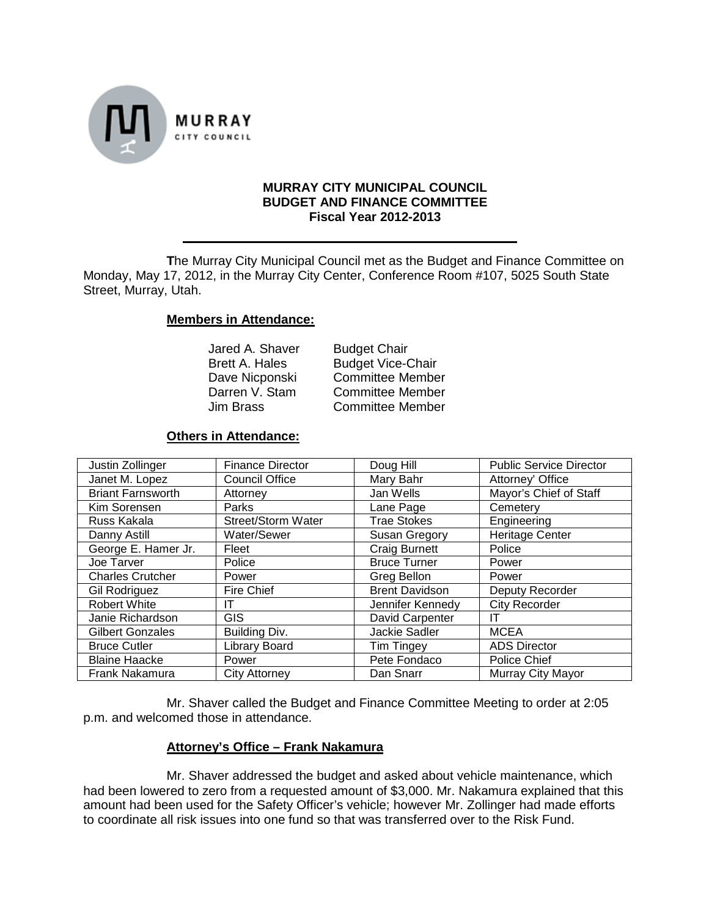

### **MURRAY CITY MUNICIPAL COUNCIL BUDGET AND FINANCE COMMITTEE Fiscal Year 2012-2013**

**T**he Murray City Municipal Council met as the Budget and Finance Committee on Monday, May 17, 2012, in the Murray City Center, Conference Room #107, 5025 South State Street, Murray, Utah.

# **Members in Attendance:**

Jared A. Shaver Budget Chair<br>Brett A. Hales Budget Vice-

Brett A. Hales Budget Vice-Chair<br>Dave Nicponski Committee Membe Dave Nicponski Committee Member<br>Darren V. Stam Committee Member Darren V. Stam Committee Member Committee Member

## **Others in Attendance:**

| Justin Zollinger         | <b>Finance Director</b> | Doug Hill             | <b>Public Service Director</b> |
|--------------------------|-------------------------|-----------------------|--------------------------------|
| Janet M. Lopez           | <b>Council Office</b>   | Mary Bahr             | Attorney' Office               |
| <b>Briant Farnsworth</b> | Attorney                | Jan Wells             | Mayor's Chief of Staff         |
| Kim Sorensen             | Parks                   | Lane Page             | Cemetery                       |
| Russ Kakala              | Street/Storm Water      | <b>Trae Stokes</b>    | Engineering                    |
| Danny Astill             | Water/Sewer             | Susan Gregory         | <b>Heritage Center</b>         |
| George E. Hamer Jr.      | Fleet                   | <b>Craig Burnett</b>  | Police                         |
| Joe Tarver               | Police                  | <b>Bruce Turner</b>   | Power                          |
| <b>Charles Crutcher</b>  | Power                   | Greg Bellon           | Power                          |
| <b>Gil Rodriguez</b>     | Fire Chief              | <b>Brent Davidson</b> | Deputy Recorder                |
| Robert White             | ΙT                      | Jennifer Kennedy      | <b>City Recorder</b>           |
| Janie Richardson         | <b>GIS</b>              | David Carpenter       | IΤ                             |
| <b>Gilbert Gonzales</b>  | Building Div.           | <b>Jackie Sadler</b>  | <b>MCEA</b>                    |
| <b>Bruce Cutler</b>      | Library Board           | <b>Tim Tingey</b>     | <b>ADS Director</b>            |
| <b>Blaine Haacke</b>     | Power                   | Pete Fondaco          | Police Chief                   |
| Frank Nakamura           | <b>City Attorney</b>    | Dan Snarr             | Murray City Mayor              |

Mr. Shaver called the Budget and Finance Committee Meeting to order at 2:05 p.m. and welcomed those in attendance.

## **Attorney's Office – Frank Nakamura**

Mr. Shaver addressed the budget and asked about vehicle maintenance, which had been lowered to zero from a requested amount of \$3,000. Mr. Nakamura explained that this amount had been used for the Safety Officer's vehicle; however Mr. Zollinger had made efforts to coordinate all risk issues into one fund so that was transferred over to the Risk Fund.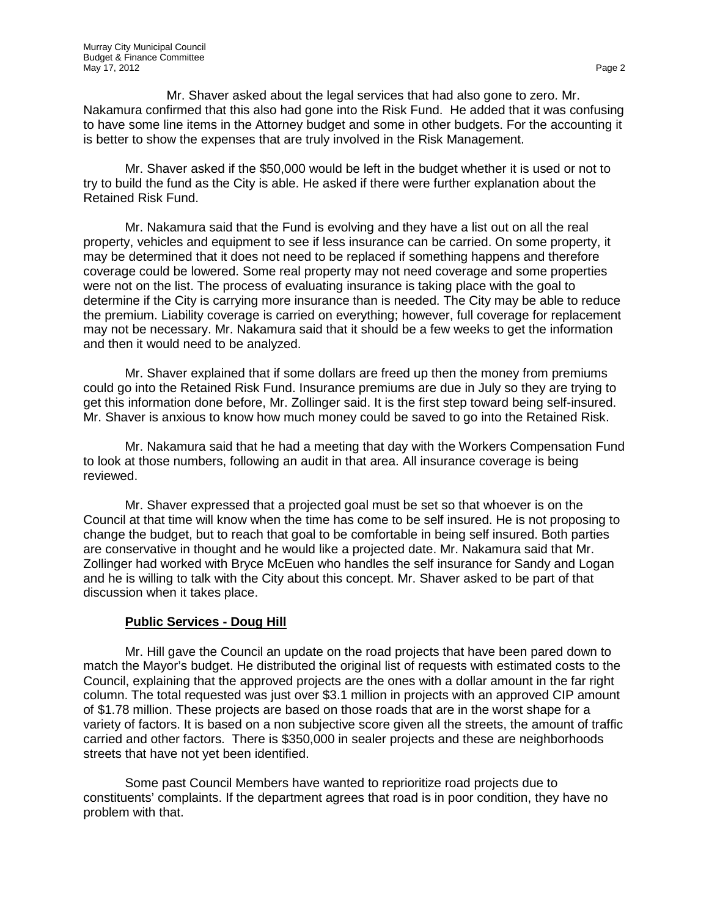Mr. Shaver asked about the legal services that had also gone to zero. Mr. Nakamura confirmed that this also had gone into the Risk Fund. He added that it was confusing to have some line items in the Attorney budget and some in other budgets. For the accounting it is better to show the expenses that are truly involved in the Risk Management.

Mr. Shaver asked if the \$50,000 would be left in the budget whether it is used or not to try to build the fund as the City is able. He asked if there were further explanation about the Retained Risk Fund.

Mr. Nakamura said that the Fund is evolving and they have a list out on all the real property, vehicles and equipment to see if less insurance can be carried. On some property, it may be determined that it does not need to be replaced if something happens and therefore coverage could be lowered. Some real property may not need coverage and some properties were not on the list. The process of evaluating insurance is taking place with the goal to determine if the City is carrying more insurance than is needed. The City may be able to reduce the premium. Liability coverage is carried on everything; however, full coverage for replacement may not be necessary. Mr. Nakamura said that it should be a few weeks to get the information and then it would need to be analyzed.

Mr. Shaver explained that if some dollars are freed up then the money from premiums could go into the Retained Risk Fund. Insurance premiums are due in July so they are trying to get this information done before, Mr. Zollinger said. It is the first step toward being self-insured. Mr. Shaver is anxious to know how much money could be saved to go into the Retained Risk.

Mr. Nakamura said that he had a meeting that day with the Workers Compensation Fund to look at those numbers, following an audit in that area. All insurance coverage is being reviewed.

Mr. Shaver expressed that a projected goal must be set so that whoever is on the Council at that time will know when the time has come to be self insured. He is not proposing to change the budget, but to reach that goal to be comfortable in being self insured. Both parties are conservative in thought and he would like a projected date. Mr. Nakamura said that Mr. Zollinger had worked with Bryce McEuen who handles the self insurance for Sandy and Logan and he is willing to talk with the City about this concept. Mr. Shaver asked to be part of that discussion when it takes place.

## **Public Services - Doug Hill**

Mr. Hill gave the Council an update on the road projects that have been pared down to match the Mayor's budget. He distributed the original list of requests with estimated costs to the Council, explaining that the approved projects are the ones with a dollar amount in the far right column. The total requested was just over \$3.1 million in projects with an approved CIP amount of \$1.78 million. These projects are based on those roads that are in the worst shape for a variety of factors. It is based on a non subjective score given all the streets, the amount of traffic carried and other factors. There is \$350,000 in sealer projects and these are neighborhoods streets that have not yet been identified.

Some past Council Members have wanted to reprioritize road projects due to constituents' complaints. If the department agrees that road is in poor condition, they have no problem with that.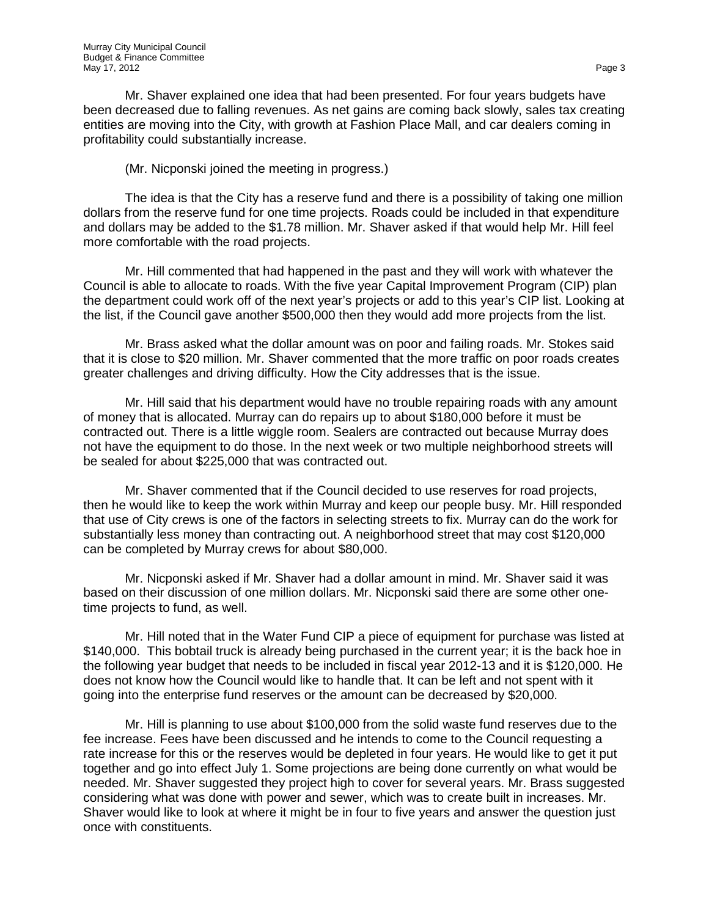Mr. Shaver explained one idea that had been presented. For four years budgets have been decreased due to falling revenues. As net gains are coming back slowly, sales tax creating entities are moving into the City, with growth at Fashion Place Mall, and car dealers coming in profitability could substantially increase.

(Mr. Nicponski joined the meeting in progress.)

The idea is that the City has a reserve fund and there is a possibility of taking one million dollars from the reserve fund for one time projects. Roads could be included in that expenditure and dollars may be added to the \$1.78 million. Mr. Shaver asked if that would help Mr. Hill feel more comfortable with the road projects.

Mr. Hill commented that had happened in the past and they will work with whatever the Council is able to allocate to roads. With the five year Capital Improvement Program (CIP) plan the department could work off of the next year's projects or add to this year's CIP list. Looking at the list, if the Council gave another \$500,000 then they would add more projects from the list.

Mr. Brass asked what the dollar amount was on poor and failing roads. Mr. Stokes said that it is close to \$20 million. Mr. Shaver commented that the more traffic on poor roads creates greater challenges and driving difficulty. How the City addresses that is the issue.

Mr. Hill said that his department would have no trouble repairing roads with any amount of money that is allocated. Murray can do repairs up to about \$180,000 before it must be contracted out. There is a little wiggle room. Sealers are contracted out because Murray does not have the equipment to do those. In the next week or two multiple neighborhood streets will be sealed for about \$225,000 that was contracted out.

Mr. Shaver commented that if the Council decided to use reserves for road projects, then he would like to keep the work within Murray and keep our people busy. Mr. Hill responded that use of City crews is one of the factors in selecting streets to fix. Murray can do the work for substantially less money than contracting out. A neighborhood street that may cost \$120,000 can be completed by Murray crews for about \$80,000.

Mr. Nicponski asked if Mr. Shaver had a dollar amount in mind. Mr. Shaver said it was based on their discussion of one million dollars. Mr. Nicponski said there are some other onetime projects to fund, as well.

Mr. Hill noted that in the Water Fund CIP a piece of equipment for purchase was listed at \$140,000. This bobtail truck is already being purchased in the current year; it is the back hoe in the following year budget that needs to be included in fiscal year 2012-13 and it is \$120,000. He does not know how the Council would like to handle that. It can be left and not spent with it going into the enterprise fund reserves or the amount can be decreased by \$20,000.

Mr. Hill is planning to use about \$100,000 from the solid waste fund reserves due to the fee increase. Fees have been discussed and he intends to come to the Council requesting a rate increase for this or the reserves would be depleted in four years. He would like to get it put together and go into effect July 1. Some projections are being done currently on what would be needed. Mr. Shaver suggested they project high to cover for several years. Mr. Brass suggested considering what was done with power and sewer, which was to create built in increases. Mr. Shaver would like to look at where it might be in four to five years and answer the question just once with constituents.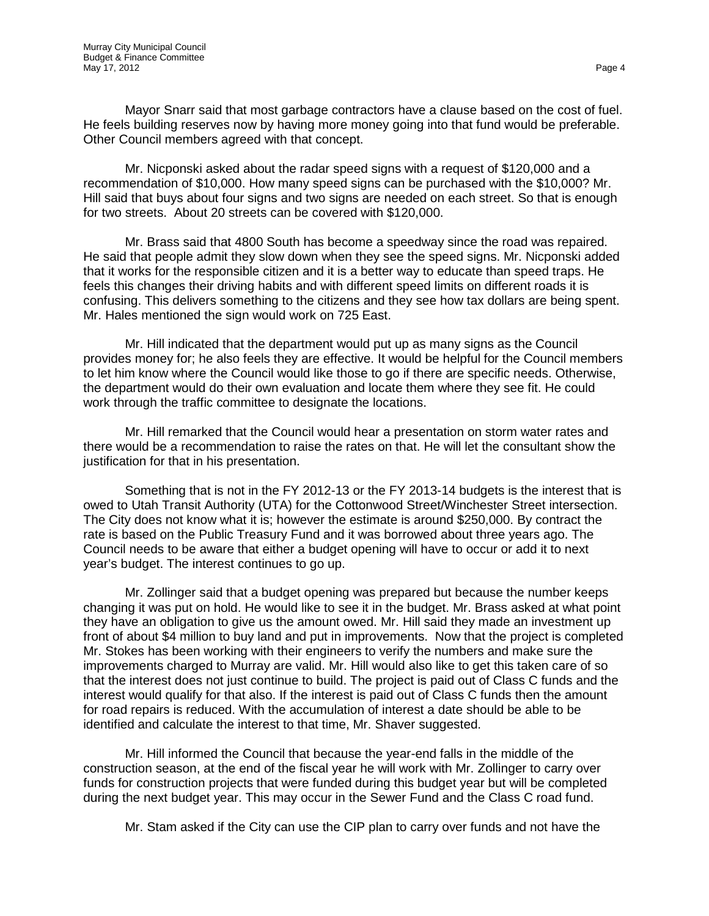Mayor Snarr said that most garbage contractors have a clause based on the cost of fuel. He feels building reserves now by having more money going into that fund would be preferable. Other Council members agreed with that concept.

Mr. Nicponski asked about the radar speed signs with a request of \$120,000 and a recommendation of \$10,000. How many speed signs can be purchased with the \$10,000? Mr. Hill said that buys about four signs and two signs are needed on each street. So that is enough for two streets. About 20 streets can be covered with \$120,000.

Mr. Brass said that 4800 South has become a speedway since the road was repaired. He said that people admit they slow down when they see the speed signs. Mr. Nicponski added that it works for the responsible citizen and it is a better way to educate than speed traps. He feels this changes their driving habits and with different speed limits on different roads it is confusing. This delivers something to the citizens and they see how tax dollars are being spent. Mr. Hales mentioned the sign would work on 725 East.

Mr. Hill indicated that the department would put up as many signs as the Council provides money for; he also feels they are effective. It would be helpful for the Council members to let him know where the Council would like those to go if there are specific needs. Otherwise, the department would do their own evaluation and locate them where they see fit. He could work through the traffic committee to designate the locations.

Mr. Hill remarked that the Council would hear a presentation on storm water rates and there would be a recommendation to raise the rates on that. He will let the consultant show the justification for that in his presentation.

Something that is not in the FY 2012-13 or the FY 2013-14 budgets is the interest that is owed to Utah Transit Authority (UTA) for the Cottonwood Street/Winchester Street intersection. The City does not know what it is; however the estimate is around \$250,000. By contract the rate is based on the Public Treasury Fund and it was borrowed about three years ago. The Council needs to be aware that either a budget opening will have to occur or add it to next year's budget. The interest continues to go up.

Mr. Zollinger said that a budget opening was prepared but because the number keeps changing it was put on hold. He would like to see it in the budget. Mr. Brass asked at what point they have an obligation to give us the amount owed. Mr. Hill said they made an investment up front of about \$4 million to buy land and put in improvements. Now that the project is completed Mr. Stokes has been working with their engineers to verify the numbers and make sure the improvements charged to Murray are valid. Mr. Hill would also like to get this taken care of so that the interest does not just continue to build. The project is paid out of Class C funds and the interest would qualify for that also. If the interest is paid out of Class C funds then the amount for road repairs is reduced. With the accumulation of interest a date should be able to be identified and calculate the interest to that time, Mr. Shaver suggested.

Mr. Hill informed the Council that because the year-end falls in the middle of the construction season, at the end of the fiscal year he will work with Mr. Zollinger to carry over funds for construction projects that were funded during this budget year but will be completed during the next budget year. This may occur in the Sewer Fund and the Class C road fund.

Mr. Stam asked if the City can use the CIP plan to carry over funds and not have the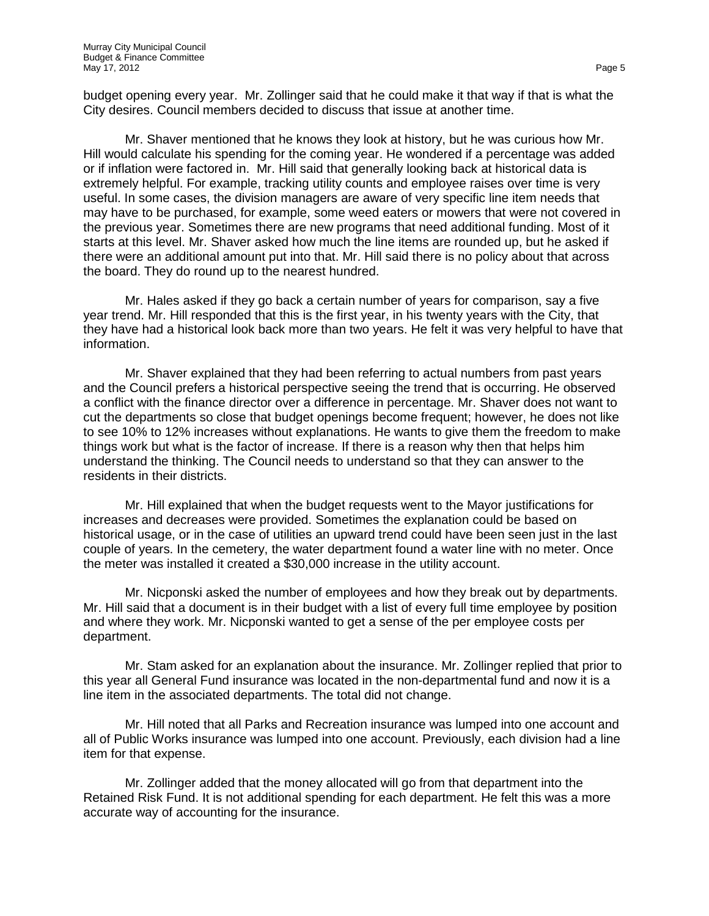budget opening every year. Mr. Zollinger said that he could make it that way if that is what the City desires. Council members decided to discuss that issue at another time.

Mr. Shaver mentioned that he knows they look at history, but he was curious how Mr. Hill would calculate his spending for the coming year. He wondered if a percentage was added or if inflation were factored in. Mr. Hill said that generally looking back at historical data is extremely helpful. For example, tracking utility counts and employee raises over time is very useful. In some cases, the division managers are aware of very specific line item needs that may have to be purchased, for example, some weed eaters or mowers that were not covered in the previous year. Sometimes there are new programs that need additional funding. Most of it starts at this level. Mr. Shaver asked how much the line items are rounded up, but he asked if there were an additional amount put into that. Mr. Hill said there is no policy about that across the board. They do round up to the nearest hundred.

Mr. Hales asked if they go back a certain number of years for comparison, say a five year trend. Mr. Hill responded that this is the first year, in his twenty years with the City, that they have had a historical look back more than two years. He felt it was very helpful to have that information.

Mr. Shaver explained that they had been referring to actual numbers from past years and the Council prefers a historical perspective seeing the trend that is occurring. He observed a conflict with the finance director over a difference in percentage. Mr. Shaver does not want to cut the departments so close that budget openings become frequent; however, he does not like to see 10% to 12% increases without explanations. He wants to give them the freedom to make things work but what is the factor of increase. If there is a reason why then that helps him understand the thinking. The Council needs to understand so that they can answer to the residents in their districts.

Mr. Hill explained that when the budget requests went to the Mayor justifications for increases and decreases were provided. Sometimes the explanation could be based on historical usage, or in the case of utilities an upward trend could have been seen just in the last couple of years. In the cemetery, the water department found a water line with no meter. Once the meter was installed it created a \$30,000 increase in the utility account.

Mr. Nicponski asked the number of employees and how they break out by departments. Mr. Hill said that a document is in their budget with a list of every full time employee by position and where they work. Mr. Nicponski wanted to get a sense of the per employee costs per department.

Mr. Stam asked for an explanation about the insurance. Mr. Zollinger replied that prior to this year all General Fund insurance was located in the non-departmental fund and now it is a line item in the associated departments. The total did not change.

Mr. Hill noted that all Parks and Recreation insurance was lumped into one account and all of Public Works insurance was lumped into one account. Previously, each division had a line item for that expense.

Mr. Zollinger added that the money allocated will go from that department into the Retained Risk Fund. It is not additional spending for each department. He felt this was a more accurate way of accounting for the insurance.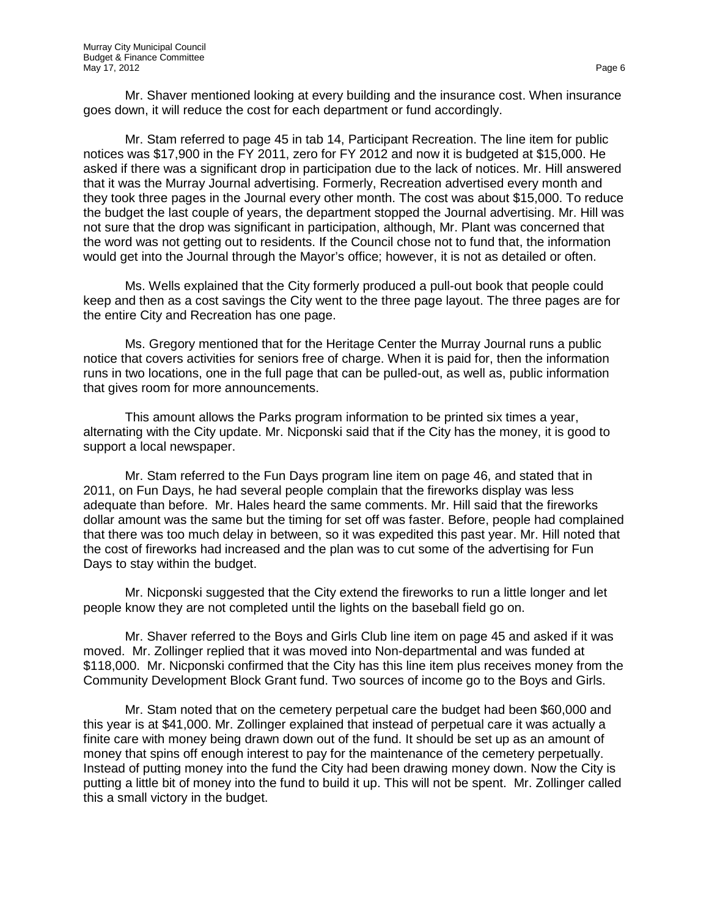Mr. Shaver mentioned looking at every building and the insurance cost. When insurance goes down, it will reduce the cost for each department or fund accordingly.

Mr. Stam referred to page 45 in tab 14, Participant Recreation. The line item for public notices was \$17,900 in the FY 2011, zero for FY 2012 and now it is budgeted at \$15,000. He asked if there was a significant drop in participation due to the lack of notices. Mr. Hill answered that it was the Murray Journal advertising. Formerly, Recreation advertised every month and they took three pages in the Journal every other month. The cost was about \$15,000. To reduce the budget the last couple of years, the department stopped the Journal advertising. Mr. Hill was not sure that the drop was significant in participation, although, Mr. Plant was concerned that the word was not getting out to residents. If the Council chose not to fund that, the information would get into the Journal through the Mayor's office; however, it is not as detailed or often.

Ms. Wells explained that the City formerly produced a pull-out book that people could keep and then as a cost savings the City went to the three page layout. The three pages are for the entire City and Recreation has one page.

Ms. Gregory mentioned that for the Heritage Center the Murray Journal runs a public notice that covers activities for seniors free of charge. When it is paid for, then the information runs in two locations, one in the full page that can be pulled-out, as well as, public information that gives room for more announcements.

This amount allows the Parks program information to be printed six times a year, alternating with the City update. Mr. Nicponski said that if the City has the money, it is good to support a local newspaper.

Mr. Stam referred to the Fun Days program line item on page 46, and stated that in 2011, on Fun Days, he had several people complain that the fireworks display was less adequate than before. Mr. Hales heard the same comments. Mr. Hill said that the fireworks dollar amount was the same but the timing for set off was faster. Before, people had complained that there was too much delay in between, so it was expedited this past year. Mr. Hill noted that the cost of fireworks had increased and the plan was to cut some of the advertising for Fun Days to stay within the budget.

Mr. Nicponski suggested that the City extend the fireworks to run a little longer and let people know they are not completed until the lights on the baseball field go on.

Mr. Shaver referred to the Boys and Girls Club line item on page 45 and asked if it was moved. Mr. Zollinger replied that it was moved into Non-departmental and was funded at \$118,000. Mr. Nicponski confirmed that the City has this line item plus receives money from the Community Development Block Grant fund. Two sources of income go to the Boys and Girls.

Mr. Stam noted that on the cemetery perpetual care the budget had been \$60,000 and this year is at \$41,000. Mr. Zollinger explained that instead of perpetual care it was actually a finite care with money being drawn down out of the fund. It should be set up as an amount of money that spins off enough interest to pay for the maintenance of the cemetery perpetually. Instead of putting money into the fund the City had been drawing money down. Now the City is putting a little bit of money into the fund to build it up. This will not be spent. Mr. Zollinger called this a small victory in the budget.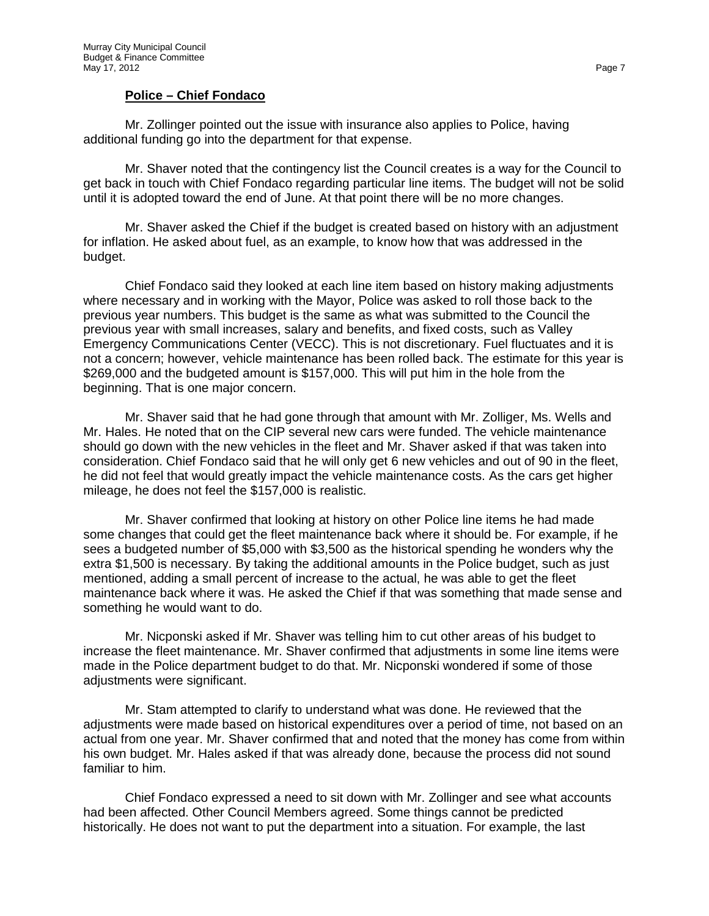#### **Police – Chief Fondaco**

Mr. Zollinger pointed out the issue with insurance also applies to Police, having additional funding go into the department for that expense.

Mr. Shaver noted that the contingency list the Council creates is a way for the Council to get back in touch with Chief Fondaco regarding particular line items. The budget will not be solid until it is adopted toward the end of June. At that point there will be no more changes.

Mr. Shaver asked the Chief if the budget is created based on history with an adjustment for inflation. He asked about fuel, as an example, to know how that was addressed in the budget.

Chief Fondaco said they looked at each line item based on history making adjustments where necessary and in working with the Mayor, Police was asked to roll those back to the previous year numbers. This budget is the same as what was submitted to the Council the previous year with small increases, salary and benefits, and fixed costs, such as Valley Emergency Communications Center (VECC). This is not discretionary. Fuel fluctuates and it is not a concern; however, vehicle maintenance has been rolled back. The estimate for this year is \$269,000 and the budgeted amount is \$157,000. This will put him in the hole from the beginning. That is one major concern.

Mr. Shaver said that he had gone through that amount with Mr. Zolliger, Ms. Wells and Mr. Hales. He noted that on the CIP several new cars were funded. The vehicle maintenance should go down with the new vehicles in the fleet and Mr. Shaver asked if that was taken into consideration. Chief Fondaco said that he will only get 6 new vehicles and out of 90 in the fleet, he did not feel that would greatly impact the vehicle maintenance costs. As the cars get higher mileage, he does not feel the \$157,000 is realistic.

Mr. Shaver confirmed that looking at history on other Police line items he had made some changes that could get the fleet maintenance back where it should be. For example, if he sees a budgeted number of \$5,000 with \$3,500 as the historical spending he wonders why the extra \$1,500 is necessary. By taking the additional amounts in the Police budget, such as just mentioned, adding a small percent of increase to the actual, he was able to get the fleet maintenance back where it was. He asked the Chief if that was something that made sense and something he would want to do.

Mr. Nicponski asked if Mr. Shaver was telling him to cut other areas of his budget to increase the fleet maintenance. Mr. Shaver confirmed that adjustments in some line items were made in the Police department budget to do that. Mr. Nicponski wondered if some of those adjustments were significant.

Mr. Stam attempted to clarify to understand what was done. He reviewed that the adjustments were made based on historical expenditures over a period of time, not based on an actual from one year. Mr. Shaver confirmed that and noted that the money has come from within his own budget. Mr. Hales asked if that was already done, because the process did not sound familiar to him.

Chief Fondaco expressed a need to sit down with Mr. Zollinger and see what accounts had been affected. Other Council Members agreed. Some things cannot be predicted historically. He does not want to put the department into a situation. For example, the last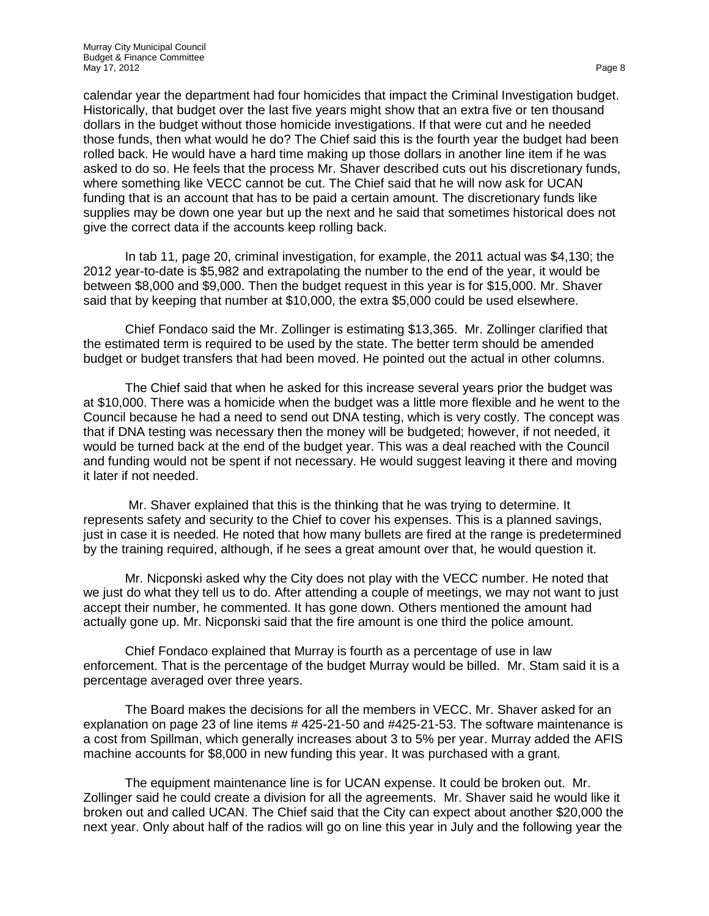calendar year the department had four homicides that impact the Criminal Investigation budget. Historically, that budget over the last five years might show that an extra five or ten thousand dollars in the budget without those homicide investigations. If that were cut and he needed those funds, then what would he do? The Chief said this is the fourth year the budget had been rolled back. He would have a hard time making up those dollars in another line item if he was asked to do so. He feels that the process Mr. Shaver described cuts out his discretionary funds, where something like VECC cannot be cut. The Chief said that he will now ask for UCAN funding that is an account that has to be paid a certain amount. The discretionary funds like supplies may be down one year but up the next and he said that sometimes historical does not give the correct data if the accounts keep rolling back.

In tab 11, page 20, criminal investigation, for example, the 2011 actual was \$4,130; the 2012 year-to-date is \$5,982 and extrapolating the number to the end of the year, it would be between \$8,000 and \$9,000. Then the budget request in this year is for \$15,000. Mr. Shaver said that by keeping that number at \$10,000, the extra \$5,000 could be used elsewhere.

Chief Fondaco said the Mr. Zollinger is estimating \$13,365. Mr. Zollinger clarified that the estimated term is required to be used by the state. The better term should be amended budget or budget transfers that had been moved. He pointed out the actual in other columns.

The Chief said that when he asked for this increase several years prior the budget was at \$10,000. There was a homicide when the budget was a little more flexible and he went to the Council because he had a need to send out DNA testing, which is very costly. The concept was that if DNA testing was necessary then the money will be budgeted; however, if not needed, it would be turned back at the end of the budget year. This was a deal reached with the Council and funding would not be spent if not necessary. He would suggest leaving it there and moving it later if not needed.

Mr. Shaver explained that this is the thinking that he was trying to determine. It represents safety and security to the Chief to cover his expenses. This is a planned savings, just in case it is needed. He noted that how many bullets are fired at the range is predetermined by the training required, although, if he sees a great amount over that, he would question it.

Mr. Nicponski asked why the City does not play with the VECC number. He noted that we just do what they tell us to do. After attending a couple of meetings, we may not want to just accept their number, he commented. It has gone down. Others mentioned the amount had actually gone up. Mr. Nicponski said that the fire amount is one third the police amount.

Chief Fondaco explained that Murray is fourth as a percentage of use in law enforcement. That is the percentage of the budget Murray would be billed. Mr. Stam said it is a percentage averaged over three years.

The Board makes the decisions for all the members in VECC. Mr. Shaver asked for an explanation on page 23 of line items # 425-21-50 and #425-21-53. The software maintenance is a cost from Spillman, which generally increases about 3 to 5% per year. Murray added the AFIS machine accounts for \$8,000 in new funding this year. It was purchased with a grant.

The equipment maintenance line is for UCAN expense. It could be broken out. Mr. Zollinger said he could create a division for all the agreements. Mr. Shaver said he would like it broken out and called UCAN. The Chief said that the City can expect about another \$20,000 the next year. Only about half of the radios will go on line this year in July and the following year the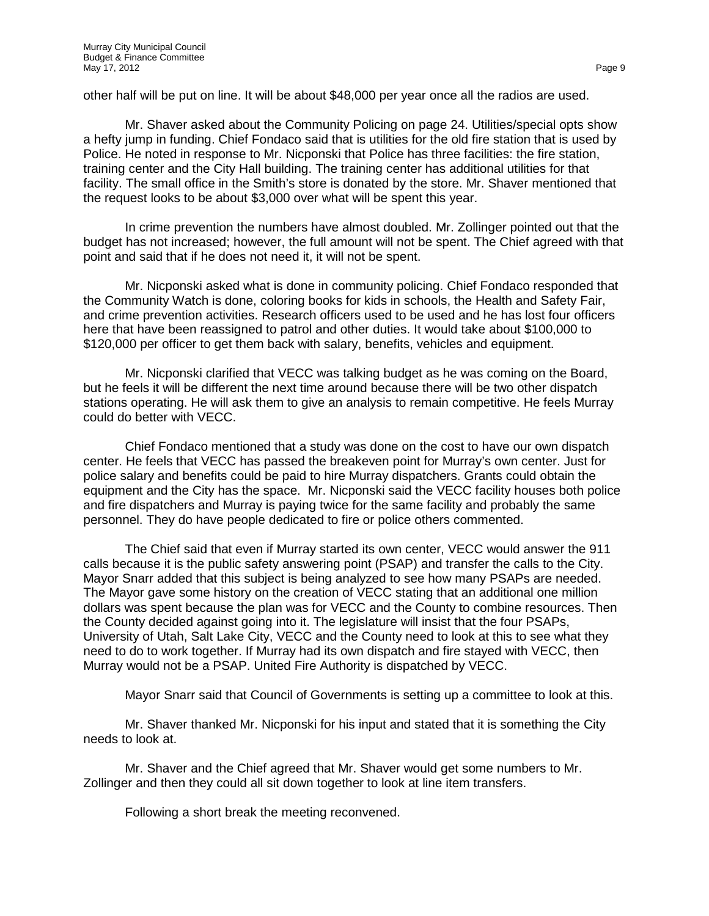other half will be put on line. It will be about \$48,000 per year once all the radios are used.

Mr. Shaver asked about the Community Policing on page 24. Utilities/special opts show a hefty jump in funding. Chief Fondaco said that is utilities for the old fire station that is used by Police. He noted in response to Mr. Nicponski that Police has three facilities: the fire station, training center and the City Hall building. The training center has additional utilities for that facility. The small office in the Smith's store is donated by the store. Mr. Shaver mentioned that the request looks to be about \$3,000 over what will be spent this year.

In crime prevention the numbers have almost doubled. Mr. Zollinger pointed out that the budget has not increased; however, the full amount will not be spent. The Chief agreed with that point and said that if he does not need it, it will not be spent.

Mr. Nicponski asked what is done in community policing. Chief Fondaco responded that the Community Watch is done, coloring books for kids in schools, the Health and Safety Fair, and crime prevention activities. Research officers used to be used and he has lost four officers here that have been reassigned to patrol and other duties. It would take about \$100,000 to \$120,000 per officer to get them back with salary, benefits, vehicles and equipment.

Mr. Nicponski clarified that VECC was talking budget as he was coming on the Board, but he feels it will be different the next time around because there will be two other dispatch stations operating. He will ask them to give an analysis to remain competitive. He feels Murray could do better with VECC.

Chief Fondaco mentioned that a study was done on the cost to have our own dispatch center. He feels that VECC has passed the breakeven point for Murray's own center. Just for police salary and benefits could be paid to hire Murray dispatchers. Grants could obtain the equipment and the City has the space. Mr. Nicponski said the VECC facility houses both police and fire dispatchers and Murray is paying twice for the same facility and probably the same personnel. They do have people dedicated to fire or police others commented.

The Chief said that even if Murray started its own center, VECC would answer the 911 calls because it is the public safety answering point (PSAP) and transfer the calls to the City. Mayor Snarr added that this subject is being analyzed to see how many PSAPs are needed. The Mayor gave some history on the creation of VECC stating that an additional one million dollars was spent because the plan was for VECC and the County to combine resources. Then the County decided against going into it. The legislature will insist that the four PSAPs, University of Utah, Salt Lake City, VECC and the County need to look at this to see what they need to do to work together. If Murray had its own dispatch and fire stayed with VECC, then Murray would not be a PSAP. United Fire Authority is dispatched by VECC.

Mayor Snarr said that Council of Governments is setting up a committee to look at this.

Mr. Shaver thanked Mr. Nicponski for his input and stated that it is something the City needs to look at.

Mr. Shaver and the Chief agreed that Mr. Shaver would get some numbers to Mr. Zollinger and then they could all sit down together to look at line item transfers.

Following a short break the meeting reconvened.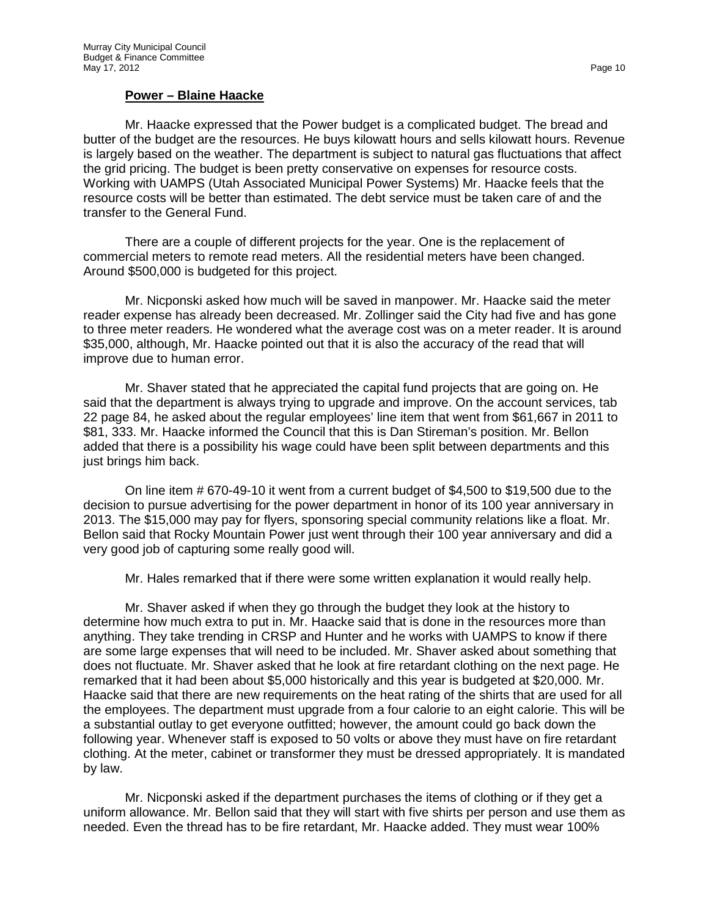#### **Power – Blaine Haacke**

Mr. Haacke expressed that the Power budget is a complicated budget. The bread and butter of the budget are the resources. He buys kilowatt hours and sells kilowatt hours. Revenue is largely based on the weather. The department is subject to natural gas fluctuations that affect the grid pricing. The budget is been pretty conservative on expenses for resource costs. Working with UAMPS (Utah Associated Municipal Power Systems) Mr. Haacke feels that the resource costs will be better than estimated. The debt service must be taken care of and the transfer to the General Fund.

There are a couple of different projects for the year. One is the replacement of commercial meters to remote read meters. All the residential meters have been changed. Around \$500,000 is budgeted for this project.

Mr. Nicponski asked how much will be saved in manpower. Mr. Haacke said the meter reader expense has already been decreased. Mr. Zollinger said the City had five and has gone to three meter readers. He wondered what the average cost was on a meter reader. It is around \$35,000, although, Mr. Haacke pointed out that it is also the accuracy of the read that will improve due to human error.

Mr. Shaver stated that he appreciated the capital fund projects that are going on. He said that the department is always trying to upgrade and improve. On the account services, tab 22 page 84, he asked about the regular employees' line item that went from \$61,667 in 2011 to \$81, 333. Mr. Haacke informed the Council that this is Dan Stireman's position. Mr. Bellon added that there is a possibility his wage could have been split between departments and this just brings him back.

On line item # 670-49-10 it went from a current budget of \$4,500 to \$19,500 due to the decision to pursue advertising for the power department in honor of its 100 year anniversary in 2013. The \$15,000 may pay for flyers, sponsoring special community relations like a float. Mr. Bellon said that Rocky Mountain Power just went through their 100 year anniversary and did a very good job of capturing some really good will.

Mr. Hales remarked that if there were some written explanation it would really help.

Mr. Shaver asked if when they go through the budget they look at the history to determine how much extra to put in. Mr. Haacke said that is done in the resources more than anything. They take trending in CRSP and Hunter and he works with UAMPS to know if there are some large expenses that will need to be included. Mr. Shaver asked about something that does not fluctuate. Mr. Shaver asked that he look at fire retardant clothing on the next page. He remarked that it had been about \$5,000 historically and this year is budgeted at \$20,000. Mr. Haacke said that there are new requirements on the heat rating of the shirts that are used for all the employees. The department must upgrade from a four calorie to an eight calorie. This will be a substantial outlay to get everyone outfitted; however, the amount could go back down the following year. Whenever staff is exposed to 50 volts or above they must have on fire retardant clothing. At the meter, cabinet or transformer they must be dressed appropriately. It is mandated by law.

Mr. Nicponski asked if the department purchases the items of clothing or if they get a uniform allowance. Mr. Bellon said that they will start with five shirts per person and use them as needed. Even the thread has to be fire retardant, Mr. Haacke added. They must wear 100%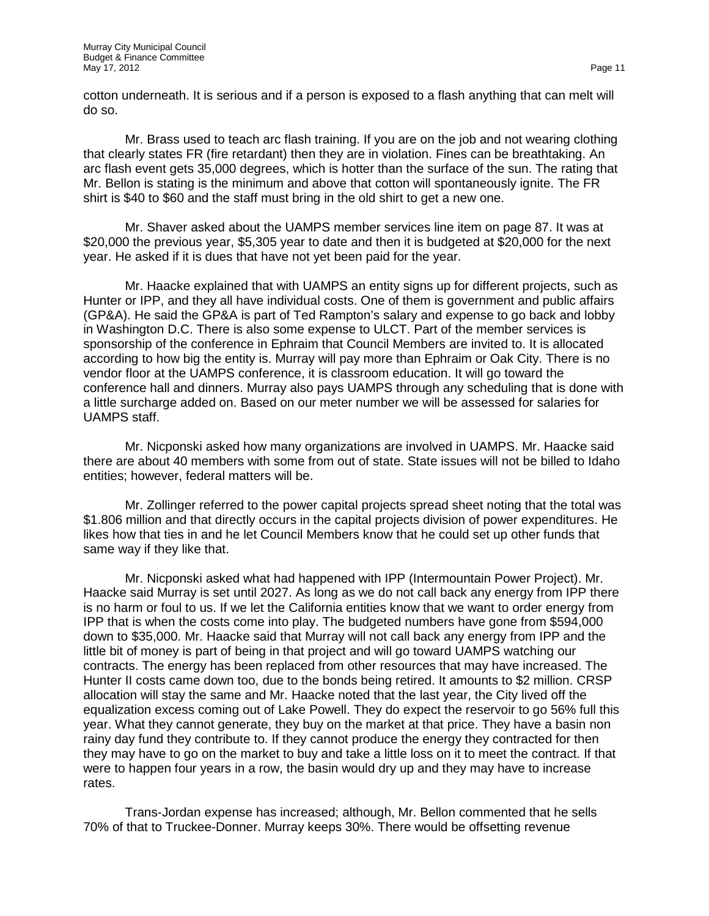cotton underneath. It is serious and if a person is exposed to a flash anything that can melt will do so.

Mr. Brass used to teach arc flash training. If you are on the job and not wearing clothing that clearly states FR (fire retardant) then they are in violation. Fines can be breathtaking. An arc flash event gets 35,000 degrees, which is hotter than the surface of the sun. The rating that Mr. Bellon is stating is the minimum and above that cotton will spontaneously ignite. The FR shirt is \$40 to \$60 and the staff must bring in the old shirt to get a new one.

Mr. Shaver asked about the UAMPS member services line item on page 87. It was at \$20,000 the previous year, \$5,305 year to date and then it is budgeted at \$20,000 for the next year. He asked if it is dues that have not yet been paid for the year.

Mr. Haacke explained that with UAMPS an entity signs up for different projects, such as Hunter or IPP, and they all have individual costs. One of them is government and public affairs (GP&A). He said the GP&A is part of Ted Rampton's salary and expense to go back and lobby in Washington D.C. There is also some expense to ULCT. Part of the member services is sponsorship of the conference in Ephraim that Council Members are invited to. It is allocated according to how big the entity is. Murray will pay more than Ephraim or Oak City. There is no vendor floor at the UAMPS conference, it is classroom education. It will go toward the conference hall and dinners. Murray also pays UAMPS through any scheduling that is done with a little surcharge added on. Based on our meter number we will be assessed for salaries for UAMPS staff.

Mr. Nicponski asked how many organizations are involved in UAMPS. Mr. Haacke said there are about 40 members with some from out of state. State issues will not be billed to Idaho entities; however, federal matters will be.

Mr. Zollinger referred to the power capital projects spread sheet noting that the total was \$1.806 million and that directly occurs in the capital projects division of power expenditures. He likes how that ties in and he let Council Members know that he could set up other funds that same way if they like that.

Mr. Nicponski asked what had happened with IPP (Intermountain Power Project). Mr. Haacke said Murray is set until 2027. As long as we do not call back any energy from IPP there is no harm or foul to us. If we let the California entities know that we want to order energy from IPP that is when the costs come into play. The budgeted numbers have gone from \$594,000 down to \$35,000. Mr. Haacke said that Murray will not call back any energy from IPP and the little bit of money is part of being in that project and will go toward UAMPS watching our contracts. The energy has been replaced from other resources that may have increased. The Hunter II costs came down too, due to the bonds being retired. It amounts to \$2 million. CRSP allocation will stay the same and Mr. Haacke noted that the last year, the City lived off the equalization excess coming out of Lake Powell. They do expect the reservoir to go 56% full this year. What they cannot generate, they buy on the market at that price. They have a basin non rainy day fund they contribute to. If they cannot produce the energy they contracted for then they may have to go on the market to buy and take a little loss on it to meet the contract. If that were to happen four years in a row, the basin would dry up and they may have to increase rates.

Trans-Jordan expense has increased; although, Mr. Bellon commented that he sells 70% of that to Truckee-Donner. Murray keeps 30%. There would be offsetting revenue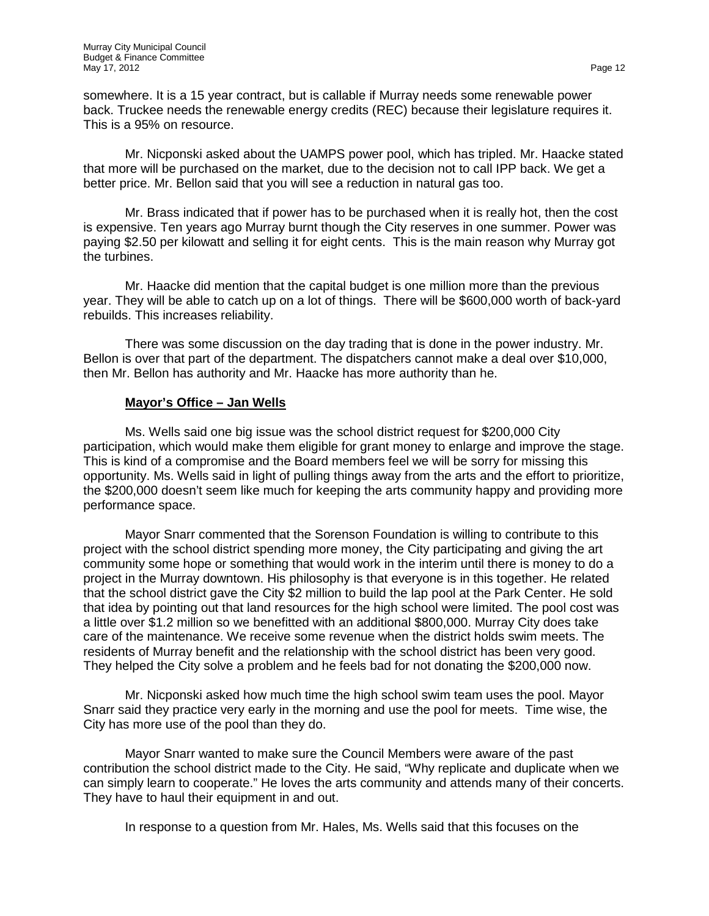somewhere. It is a 15 year contract, but is callable if Murray needs some renewable power back. Truckee needs the renewable energy credits (REC) because their legislature requires it. This is a 95% on resource.

Mr. Nicponski asked about the UAMPS power pool, which has tripled. Mr. Haacke stated that more will be purchased on the market, due to the decision not to call IPP back. We get a better price. Mr. Bellon said that you will see a reduction in natural gas too.

Mr. Brass indicated that if power has to be purchased when it is really hot, then the cost is expensive. Ten years ago Murray burnt though the City reserves in one summer. Power was paying \$2.50 per kilowatt and selling it for eight cents. This is the main reason why Murray got the turbines.

Mr. Haacke did mention that the capital budget is one million more than the previous year. They will be able to catch up on a lot of things. There will be \$600,000 worth of back-yard rebuilds. This increases reliability.

There was some discussion on the day trading that is done in the power industry. Mr. Bellon is over that part of the department. The dispatchers cannot make a deal over \$10,000, then Mr. Bellon has authority and Mr. Haacke has more authority than he.

#### **Mayor's Office – Jan Wells**

Ms. Wells said one big issue was the school district request for \$200,000 City participation, which would make them eligible for grant money to enlarge and improve the stage. This is kind of a compromise and the Board members feel we will be sorry for missing this opportunity. Ms. Wells said in light of pulling things away from the arts and the effort to prioritize, the \$200,000 doesn't seem like much for keeping the arts community happy and providing more performance space.

Mayor Snarr commented that the Sorenson Foundation is willing to contribute to this project with the school district spending more money, the City participating and giving the art community some hope or something that would work in the interim until there is money to do a project in the Murray downtown. His philosophy is that everyone is in this together. He related that the school district gave the City \$2 million to build the lap pool at the Park Center. He sold that idea by pointing out that land resources for the high school were limited. The pool cost was a little over \$1.2 million so we benefitted with an additional \$800,000. Murray City does take care of the maintenance. We receive some revenue when the district holds swim meets. The residents of Murray benefit and the relationship with the school district has been very good. They helped the City solve a problem and he feels bad for not donating the \$200,000 now.

Mr. Nicponski asked how much time the high school swim team uses the pool. Mayor Snarr said they practice very early in the morning and use the pool for meets. Time wise, the City has more use of the pool than they do.

Mayor Snarr wanted to make sure the Council Members were aware of the past contribution the school district made to the City. He said, "Why replicate and duplicate when we can simply learn to cooperate." He loves the arts community and attends many of their concerts. They have to haul their equipment in and out.

In response to a question from Mr. Hales, Ms. Wells said that this focuses on the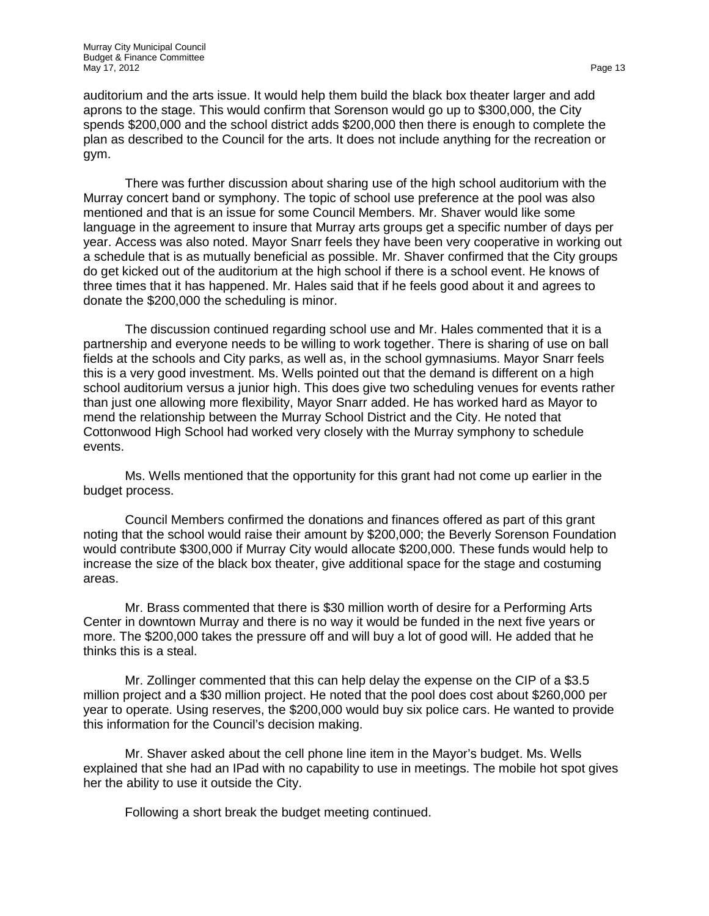auditorium and the arts issue. It would help them build the black box theater larger and add aprons to the stage. This would confirm that Sorenson would go up to \$300,000, the City spends \$200,000 and the school district adds \$200,000 then there is enough to complete the plan as described to the Council for the arts. It does not include anything for the recreation or gym.

There was further discussion about sharing use of the high school auditorium with the Murray concert band or symphony. The topic of school use preference at the pool was also mentioned and that is an issue for some Council Members. Mr. Shaver would like some language in the agreement to insure that Murray arts groups get a specific number of days per year. Access was also noted. Mayor Snarr feels they have been very cooperative in working out a schedule that is as mutually beneficial as possible. Mr. Shaver confirmed that the City groups do get kicked out of the auditorium at the high school if there is a school event. He knows of three times that it has happened. Mr. Hales said that if he feels good about it and agrees to donate the \$200,000 the scheduling is minor.

The discussion continued regarding school use and Mr. Hales commented that it is a partnership and everyone needs to be willing to work together. There is sharing of use on ball fields at the schools and City parks, as well as, in the school gymnasiums. Mayor Snarr feels this is a very good investment. Ms. Wells pointed out that the demand is different on a high school auditorium versus a junior high. This does give two scheduling venues for events rather than just one allowing more flexibility, Mayor Snarr added. He has worked hard as Mayor to mend the relationship between the Murray School District and the City. He noted that Cottonwood High School had worked very closely with the Murray symphony to schedule events.

Ms. Wells mentioned that the opportunity for this grant had not come up earlier in the budget process.

Council Members confirmed the donations and finances offered as part of this grant noting that the school would raise their amount by \$200,000; the Beverly Sorenson Foundation would contribute \$300,000 if Murray City would allocate \$200,000. These funds would help to increase the size of the black box theater, give additional space for the stage and costuming areas.

Mr. Brass commented that there is \$30 million worth of desire for a Performing Arts Center in downtown Murray and there is no way it would be funded in the next five years or more. The \$200,000 takes the pressure off and will buy a lot of good will. He added that he thinks this is a steal.

Mr. Zollinger commented that this can help delay the expense on the CIP of a \$3.5 million project and a \$30 million project. He noted that the pool does cost about \$260,000 per year to operate. Using reserves, the \$200,000 would buy six police cars. He wanted to provide this information for the Council's decision making.

Mr. Shaver asked about the cell phone line item in the Mayor's budget. Ms. Wells explained that she had an IPad with no capability to use in meetings. The mobile hot spot gives her the ability to use it outside the City.

Following a short break the budget meeting continued.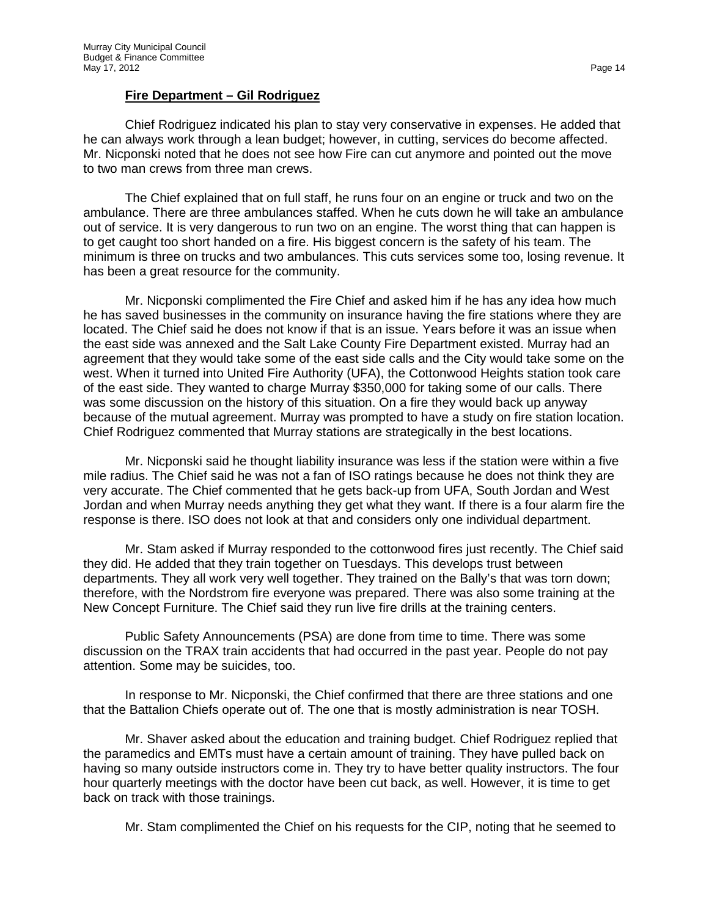### **Fire Department – Gil Rodriguez**

Chief Rodriguez indicated his plan to stay very conservative in expenses. He added that he can always work through a lean budget; however, in cutting, services do become affected. Mr. Nicponski noted that he does not see how Fire can cut anymore and pointed out the move to two man crews from three man crews.

The Chief explained that on full staff, he runs four on an engine or truck and two on the ambulance. There are three ambulances staffed. When he cuts down he will take an ambulance out of service. It is very dangerous to run two on an engine. The worst thing that can happen is to get caught too short handed on a fire. His biggest concern is the safety of his team. The minimum is three on trucks and two ambulances. This cuts services some too, losing revenue. It has been a great resource for the community.

Mr. Nicponski complimented the Fire Chief and asked him if he has any idea how much he has saved businesses in the community on insurance having the fire stations where they are located. The Chief said he does not know if that is an issue. Years before it was an issue when the east side was annexed and the Salt Lake County Fire Department existed. Murray had an agreement that they would take some of the east side calls and the City would take some on the west. When it turned into United Fire Authority (UFA), the Cottonwood Heights station took care of the east side. They wanted to charge Murray \$350,000 for taking some of our calls. There was some discussion on the history of this situation. On a fire they would back up anyway because of the mutual agreement. Murray was prompted to have a study on fire station location. Chief Rodriguez commented that Murray stations are strategically in the best locations.

Mr. Nicponski said he thought liability insurance was less if the station were within a five mile radius. The Chief said he was not a fan of ISO ratings because he does not think they are very accurate. The Chief commented that he gets back-up from UFA, South Jordan and West Jordan and when Murray needs anything they get what they want. If there is a four alarm fire the response is there. ISO does not look at that and considers only one individual department.

Mr. Stam asked if Murray responded to the cottonwood fires just recently. The Chief said they did. He added that they train together on Tuesdays. This develops trust between departments. They all work very well together. They trained on the Bally's that was torn down; therefore, with the Nordstrom fire everyone was prepared. There was also some training at the New Concept Furniture. The Chief said they run live fire drills at the training centers.

Public Safety Announcements (PSA) are done from time to time. There was some discussion on the TRAX train accidents that had occurred in the past year. People do not pay attention. Some may be suicides, too.

In response to Mr. Nicponski, the Chief confirmed that there are three stations and one that the Battalion Chiefs operate out of. The one that is mostly administration is near TOSH.

Mr. Shaver asked about the education and training budget. Chief Rodriguez replied that the paramedics and EMTs must have a certain amount of training. They have pulled back on having so many outside instructors come in. They try to have better quality instructors. The four hour quarterly meetings with the doctor have been cut back, as well. However, it is time to get back on track with those trainings.

Mr. Stam complimented the Chief on his requests for the CIP, noting that he seemed to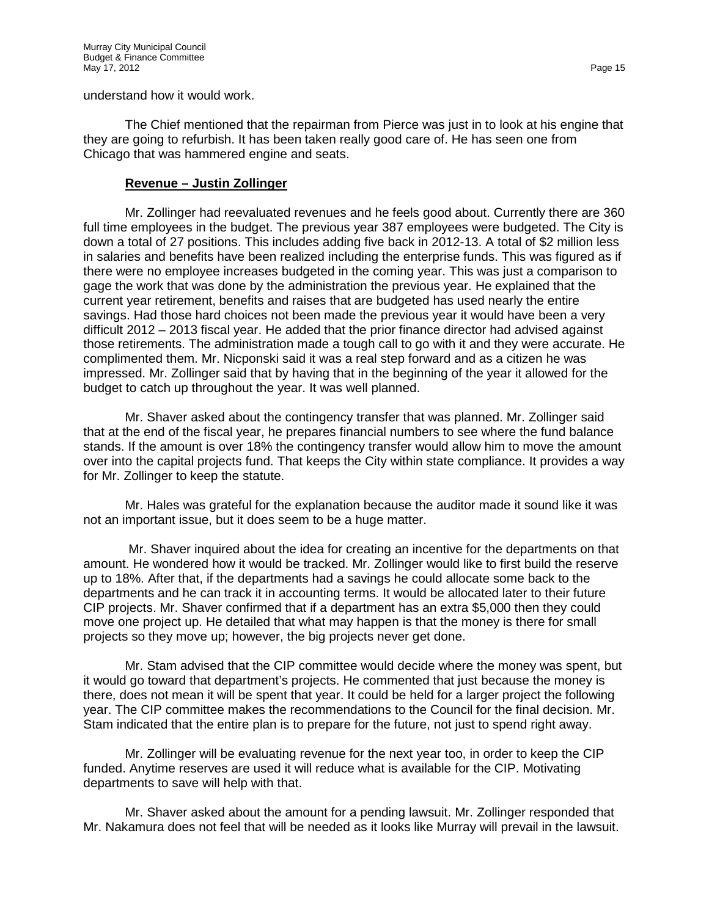understand how it would work.

The Chief mentioned that the repairman from Pierce was just in to look at his engine that they are going to refurbish. It has been taken really good care of. He has seen one from Chicago that was hammered engine and seats.

### **Revenue – Justin Zollinger**

Mr. Zollinger had reevaluated revenues and he feels good about. Currently there are 360 full time employees in the budget. The previous year 387 employees were budgeted. The City is down a total of 27 positions. This includes adding five back in 2012-13. A total of \$2 million less in salaries and benefits have been realized including the enterprise funds. This was figured as if there were no employee increases budgeted in the coming year. This was just a comparison to gage the work that was done by the administration the previous year. He explained that the current year retirement, benefits and raises that are budgeted has used nearly the entire savings. Had those hard choices not been made the previous year it would have been a very difficult 2012 – 2013 fiscal year. He added that the prior finance director had advised against those retirements. The administration made a tough call to go with it and they were accurate. He complimented them. Mr. Nicponski said it was a real step forward and as a citizen he was impressed. Mr. Zollinger said that by having that in the beginning of the year it allowed for the budget to catch up throughout the year. It was well planned.

Mr. Shaver asked about the contingency transfer that was planned. Mr. Zollinger said that at the end of the fiscal year, he prepares financial numbers to see where the fund balance stands. If the amount is over 18% the contingency transfer would allow him to move the amount over into the capital projects fund. That keeps the City within state compliance. It provides a way for Mr. Zollinger to keep the statute.

Mr. Hales was grateful for the explanation because the auditor made it sound like it was not an important issue, but it does seem to be a huge matter.

Mr. Shaver inquired about the idea for creating an incentive for the departments on that amount. He wondered how it would be tracked. Mr. Zollinger would like to first build the reserve up to 18%. After that, if the departments had a savings he could allocate some back to the departments and he can track it in accounting terms. It would be allocated later to their future CIP projects. Mr. Shaver confirmed that if a department has an extra \$5,000 then they could move one project up. He detailed that what may happen is that the money is there for small projects so they move up; however, the big projects never get done.

Mr. Stam advised that the CIP committee would decide where the money was spent, but it would go toward that department's projects. He commented that just because the money is there, does not mean it will be spent that year. It could be held for a larger project the following year. The CIP committee makes the recommendations to the Council for the final decision. Mr. Stam indicated that the entire plan is to prepare for the future, not just to spend right away.

Mr. Zollinger will be evaluating revenue for the next year too, in order to keep the CIP funded. Anytime reserves are used it will reduce what is available for the CIP. Motivating departments to save will help with that.

Mr. Shaver asked about the amount for a pending lawsuit. Mr. Zollinger responded that Mr. Nakamura does not feel that will be needed as it looks like Murray will prevail in the lawsuit.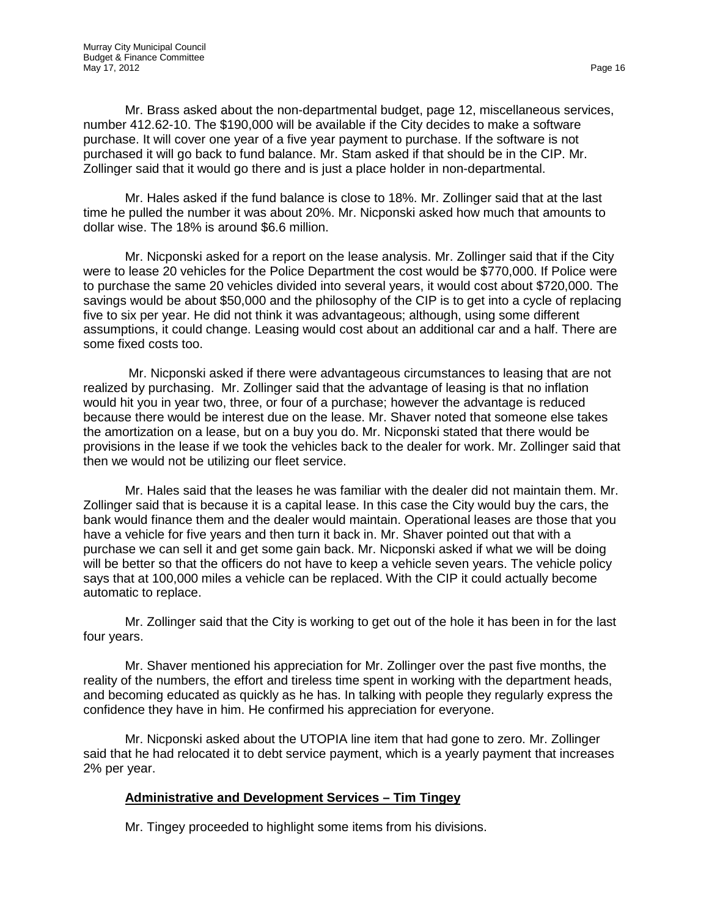Mr. Brass asked about the non-departmental budget, page 12, miscellaneous services, number 412.62-10. The \$190,000 will be available if the City decides to make a software purchase. It will cover one year of a five year payment to purchase. If the software is not purchased it will go back to fund balance. Mr. Stam asked if that should be in the CIP. Mr. Zollinger said that it would go there and is just a place holder in non-departmental.

Mr. Hales asked if the fund balance is close to 18%. Mr. Zollinger said that at the last time he pulled the number it was about 20%. Mr. Nicponski asked how much that amounts to dollar wise. The 18% is around \$6.6 million.

Mr. Nicponski asked for a report on the lease analysis. Mr. Zollinger said that if the City were to lease 20 vehicles for the Police Department the cost would be \$770,000. If Police were to purchase the same 20 vehicles divided into several years, it would cost about \$720,000. The savings would be about \$50,000 and the philosophy of the CIP is to get into a cycle of replacing five to six per year. He did not think it was advantageous; although, using some different assumptions, it could change. Leasing would cost about an additional car and a half. There are some fixed costs too.

Mr. Nicponski asked if there were advantageous circumstances to leasing that are not realized by purchasing. Mr. Zollinger said that the advantage of leasing is that no inflation would hit you in year two, three, or four of a purchase; however the advantage is reduced because there would be interest due on the lease. Mr. Shaver noted that someone else takes the amortization on a lease, but on a buy you do. Mr. Nicponski stated that there would be provisions in the lease if we took the vehicles back to the dealer for work. Mr. Zollinger said that then we would not be utilizing our fleet service.

Mr. Hales said that the leases he was familiar with the dealer did not maintain them. Mr. Zollinger said that is because it is a capital lease. In this case the City would buy the cars, the bank would finance them and the dealer would maintain. Operational leases are those that you have a vehicle for five years and then turn it back in. Mr. Shaver pointed out that with a purchase we can sell it and get some gain back. Mr. Nicponski asked if what we will be doing will be better so that the officers do not have to keep a vehicle seven years. The vehicle policy says that at 100,000 miles a vehicle can be replaced. With the CIP it could actually become automatic to replace.

Mr. Zollinger said that the City is working to get out of the hole it has been in for the last four years.

Mr. Shaver mentioned his appreciation for Mr. Zollinger over the past five months, the reality of the numbers, the effort and tireless time spent in working with the department heads, and becoming educated as quickly as he has. In talking with people they regularly express the confidence they have in him. He confirmed his appreciation for everyone.

Mr. Nicponski asked about the UTOPIA line item that had gone to zero. Mr. Zollinger said that he had relocated it to debt service payment, which is a yearly payment that increases 2% per year.

## **Administrative and Development Services – Tim Tingey**

Mr. Tingey proceeded to highlight some items from his divisions.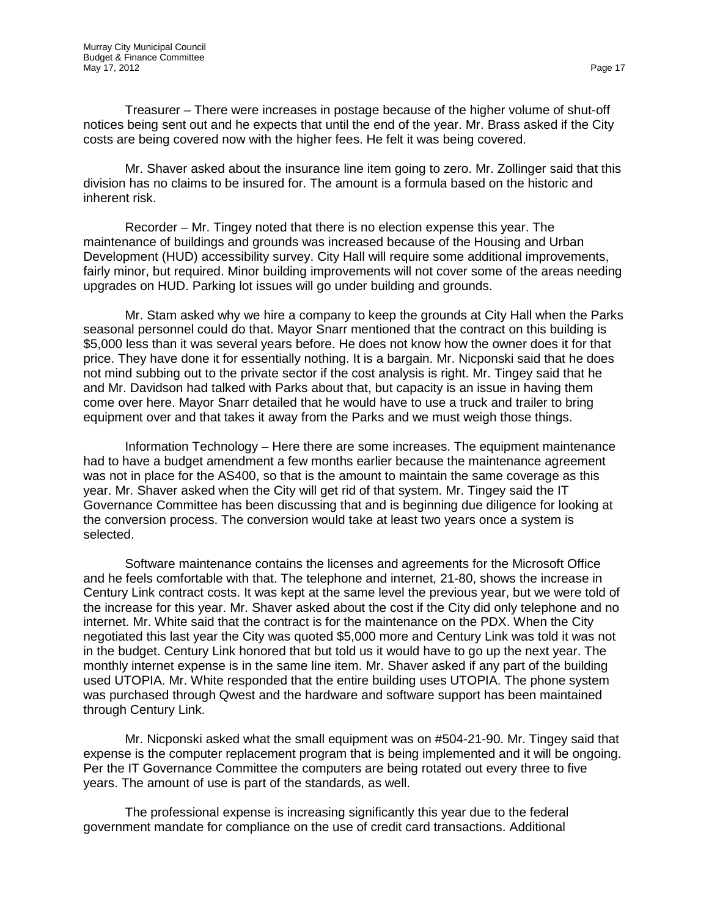Treasurer – There were increases in postage because of the higher volume of shut-off notices being sent out and he expects that until the end of the year. Mr. Brass asked if the City costs are being covered now with the higher fees. He felt it was being covered.

Mr. Shaver asked about the insurance line item going to zero. Mr. Zollinger said that this division has no claims to be insured for. The amount is a formula based on the historic and inherent risk.

Recorder – Mr. Tingey noted that there is no election expense this year. The maintenance of buildings and grounds was increased because of the Housing and Urban Development (HUD) accessibility survey. City Hall will require some additional improvements, fairly minor, but required. Minor building improvements will not cover some of the areas needing upgrades on HUD. Parking lot issues will go under building and grounds.

Mr. Stam asked why we hire a company to keep the grounds at City Hall when the Parks seasonal personnel could do that. Mayor Snarr mentioned that the contract on this building is \$5,000 less than it was several years before. He does not know how the owner does it for that price. They have done it for essentially nothing. It is a bargain. Mr. Nicponski said that he does not mind subbing out to the private sector if the cost analysis is right. Mr. Tingey said that he and Mr. Davidson had talked with Parks about that, but capacity is an issue in having them come over here. Mayor Snarr detailed that he would have to use a truck and trailer to bring equipment over and that takes it away from the Parks and we must weigh those things.

Information Technology – Here there are some increases. The equipment maintenance had to have a budget amendment a few months earlier because the maintenance agreement was not in place for the AS400, so that is the amount to maintain the same coverage as this year. Mr. Shaver asked when the City will get rid of that system. Mr. Tingey said the IT Governance Committee has been discussing that and is beginning due diligence for looking at the conversion process. The conversion would take at least two years once a system is selected.

Software maintenance contains the licenses and agreements for the Microsoft Office and he feels comfortable with that. The telephone and internet, 21-80, shows the increase in Century Link contract costs. It was kept at the same level the previous year, but we were told of the increase for this year. Mr. Shaver asked about the cost if the City did only telephone and no internet. Mr. White said that the contract is for the maintenance on the PDX. When the City negotiated this last year the City was quoted \$5,000 more and Century Link was told it was not in the budget. Century Link honored that but told us it would have to go up the next year. The monthly internet expense is in the same line item. Mr. Shaver asked if any part of the building used UTOPIA. Mr. White responded that the entire building uses UTOPIA. The phone system was purchased through Qwest and the hardware and software support has been maintained through Century Link.

Mr. Nicponski asked what the small equipment was on #504-21-90. Mr. Tingey said that expense is the computer replacement program that is being implemented and it will be ongoing. Per the IT Governance Committee the computers are being rotated out every three to five years. The amount of use is part of the standards, as well.

The professional expense is increasing significantly this year due to the federal government mandate for compliance on the use of credit card transactions. Additional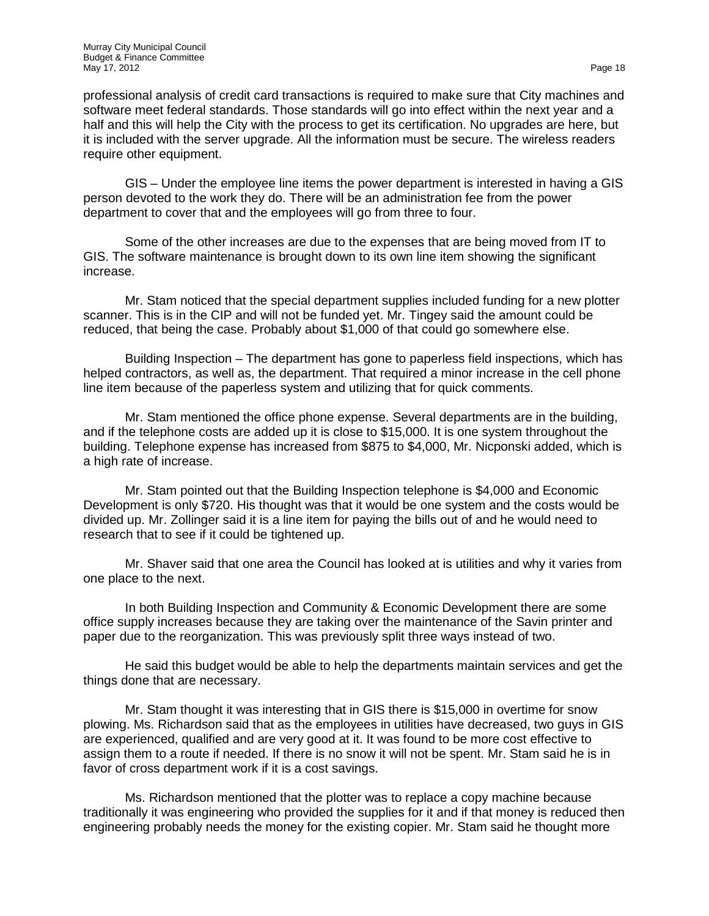professional analysis of credit card transactions is required to make sure that City machines and software meet federal standards. Those standards will go into effect within the next year and a half and this will help the City with the process to get its certification. No upgrades are here, but it is included with the server upgrade. All the information must be secure. The wireless readers require other equipment.

GIS – Under the employee line items the power department is interested in having a GIS person devoted to the work they do. There will be an administration fee from the power department to cover that and the employees will go from three to four.

Some of the other increases are due to the expenses that are being moved from IT to GIS. The software maintenance is brought down to its own line item showing the significant increase.

Mr. Stam noticed that the special department supplies included funding for a new plotter scanner. This is in the CIP and will not be funded yet. Mr. Tingey said the amount could be reduced, that being the case. Probably about \$1,000 of that could go somewhere else.

Building Inspection – The department has gone to paperless field inspections, which has helped contractors, as well as, the department. That required a minor increase in the cell phone line item because of the paperless system and utilizing that for quick comments.

Mr. Stam mentioned the office phone expense. Several departments are in the building, and if the telephone costs are added up it is close to \$15,000. It is one system throughout the building. Telephone expense has increased from \$875 to \$4,000, Mr. Nicponski added, which is a high rate of increase.

Mr. Stam pointed out that the Building Inspection telephone is \$4,000 and Economic Development is only \$720. His thought was that it would be one system and the costs would be divided up. Mr. Zollinger said it is a line item for paying the bills out of and he would need to research that to see if it could be tightened up.

Mr. Shaver said that one area the Council has looked at is utilities and why it varies from one place to the next.

In both Building Inspection and Community & Economic Development there are some office supply increases because they are taking over the maintenance of the Savin printer and paper due to the reorganization. This was previously split three ways instead of two.

He said this budget would be able to help the departments maintain services and get the things done that are necessary.

Mr. Stam thought it was interesting that in GIS there is \$15,000 in overtime for snow plowing. Ms. Richardson said that as the employees in utilities have decreased, two guys in GIS are experienced, qualified and are very good at it. It was found to be more cost effective to assign them to a route if needed. If there is no snow it will not be spent. Mr. Stam said he is in favor of cross department work if it is a cost savings.

Ms. Richardson mentioned that the plotter was to replace a copy machine because traditionally it was engineering who provided the supplies for it and if that money is reduced then engineering probably needs the money for the existing copier. Mr. Stam said he thought more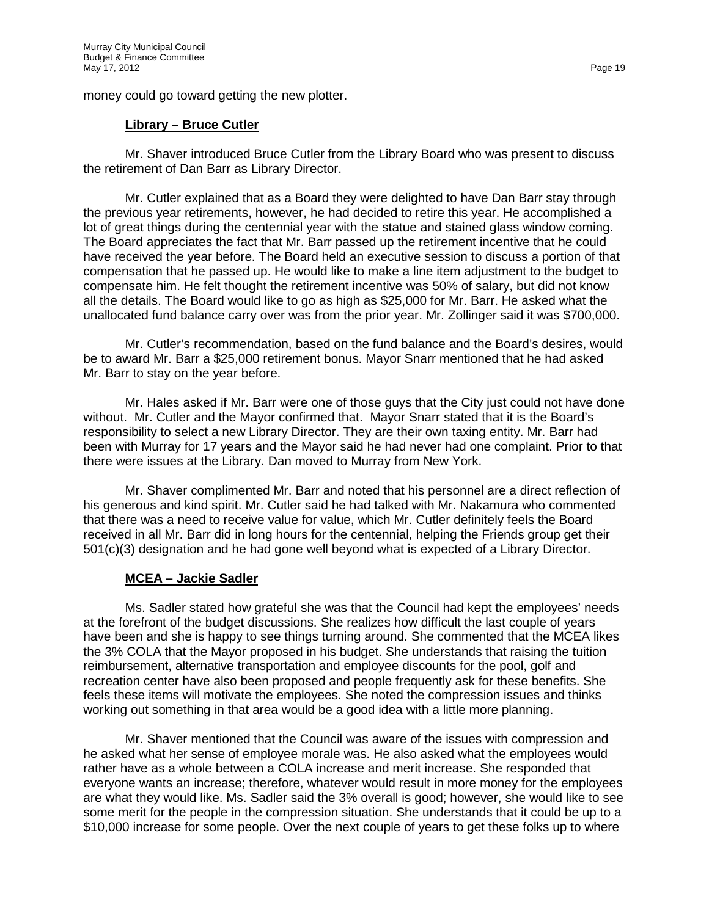money could go toward getting the new plotter.

### **Library – Bruce Cutler**

Mr. Shaver introduced Bruce Cutler from the Library Board who was present to discuss the retirement of Dan Barr as Library Director.

Mr. Cutler explained that as a Board they were delighted to have Dan Barr stay through the previous year retirements, however, he had decided to retire this year. He accomplished a lot of great things during the centennial year with the statue and stained glass window coming. The Board appreciates the fact that Mr. Barr passed up the retirement incentive that he could have received the year before. The Board held an executive session to discuss a portion of that compensation that he passed up. He would like to make a line item adjustment to the budget to compensate him. He felt thought the retirement incentive was 50% of salary, but did not know all the details. The Board would like to go as high as \$25,000 for Mr. Barr. He asked what the unallocated fund balance carry over was from the prior year. Mr. Zollinger said it was \$700,000.

Mr. Cutler's recommendation, based on the fund balance and the Board's desires, would be to award Mr. Barr a \$25,000 retirement bonus. Mayor Snarr mentioned that he had asked Mr. Barr to stay on the year before.

Mr. Hales asked if Mr. Barr were one of those guys that the City just could not have done without. Mr. Cutler and the Mayor confirmed that. Mayor Snarr stated that it is the Board's responsibility to select a new Library Director. They are their own taxing entity. Mr. Barr had been with Murray for 17 years and the Mayor said he had never had one complaint. Prior to that there were issues at the Library. Dan moved to Murray from New York.

Mr. Shaver complimented Mr. Barr and noted that his personnel are a direct reflection of his generous and kind spirit. Mr. Cutler said he had talked with Mr. Nakamura who commented that there was a need to receive value for value, which Mr. Cutler definitely feels the Board received in all Mr. Barr did in long hours for the centennial, helping the Friends group get their 501(c)(3) designation and he had gone well beyond what is expected of a Library Director.

### **MCEA – Jackie Sadler**

Ms. Sadler stated how grateful she was that the Council had kept the employees' needs at the forefront of the budget discussions. She realizes how difficult the last couple of years have been and she is happy to see things turning around. She commented that the MCEA likes the 3% COLA that the Mayor proposed in his budget. She understands that raising the tuition reimbursement, alternative transportation and employee discounts for the pool, golf and recreation center have also been proposed and people frequently ask for these benefits. She feels these items will motivate the employees. She noted the compression issues and thinks working out something in that area would be a good idea with a little more planning.

Mr. Shaver mentioned that the Council was aware of the issues with compression and he asked what her sense of employee morale was. He also asked what the employees would rather have as a whole between a COLA increase and merit increase. She responded that everyone wants an increase; therefore, whatever would result in more money for the employees are what they would like. Ms. Sadler said the 3% overall is good; however, she would like to see some merit for the people in the compression situation. She understands that it could be up to a \$10,000 increase for some people. Over the next couple of years to get these folks up to where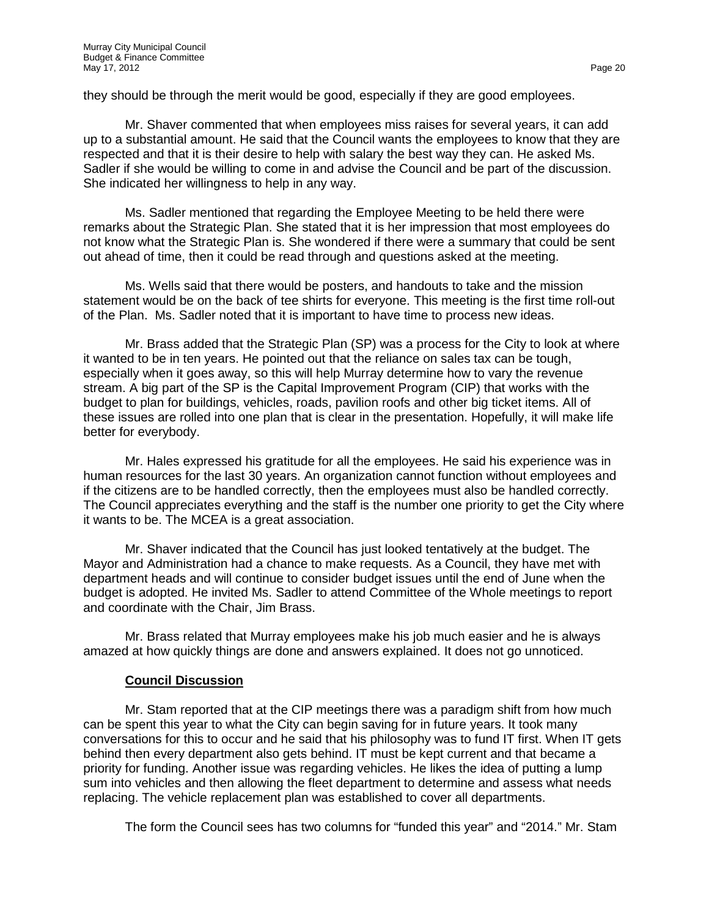they should be through the merit would be good, especially if they are good employees.

Mr. Shaver commented that when employees miss raises for several years, it can add up to a substantial amount. He said that the Council wants the employees to know that they are respected and that it is their desire to help with salary the best way they can. He asked Ms. Sadler if she would be willing to come in and advise the Council and be part of the discussion. She indicated her willingness to help in any way.

Ms. Sadler mentioned that regarding the Employee Meeting to be held there were remarks about the Strategic Plan. She stated that it is her impression that most employees do not know what the Strategic Plan is. She wondered if there were a summary that could be sent out ahead of time, then it could be read through and questions asked at the meeting.

Ms. Wells said that there would be posters, and handouts to take and the mission statement would be on the back of tee shirts for everyone. This meeting is the first time roll-out of the Plan. Ms. Sadler noted that it is important to have time to process new ideas.

Mr. Brass added that the Strategic Plan (SP) was a process for the City to look at where it wanted to be in ten years. He pointed out that the reliance on sales tax can be tough, especially when it goes away, so this will help Murray determine how to vary the revenue stream. A big part of the SP is the Capital Improvement Program (CIP) that works with the budget to plan for buildings, vehicles, roads, pavilion roofs and other big ticket items. All of these issues are rolled into one plan that is clear in the presentation. Hopefully, it will make life better for everybody.

Mr. Hales expressed his gratitude for all the employees. He said his experience was in human resources for the last 30 years. An organization cannot function without employees and if the citizens are to be handled correctly, then the employees must also be handled correctly. The Council appreciates everything and the staff is the number one priority to get the City where it wants to be. The MCEA is a great association.

Mr. Shaver indicated that the Council has just looked tentatively at the budget. The Mayor and Administration had a chance to make requests. As a Council, they have met with department heads and will continue to consider budget issues until the end of June when the budget is adopted. He invited Ms. Sadler to attend Committee of the Whole meetings to report and coordinate with the Chair, Jim Brass.

Mr. Brass related that Murray employees make his job much easier and he is always amazed at how quickly things are done and answers explained. It does not go unnoticed.

## **Council Discussion**

Mr. Stam reported that at the CIP meetings there was a paradigm shift from how much can be spent this year to what the City can begin saving for in future years. It took many conversations for this to occur and he said that his philosophy was to fund IT first. When IT gets behind then every department also gets behind. IT must be kept current and that became a priority for funding. Another issue was regarding vehicles. He likes the idea of putting a lump sum into vehicles and then allowing the fleet department to determine and assess what needs replacing. The vehicle replacement plan was established to cover all departments.

The form the Council sees has two columns for "funded this year" and "2014." Mr. Stam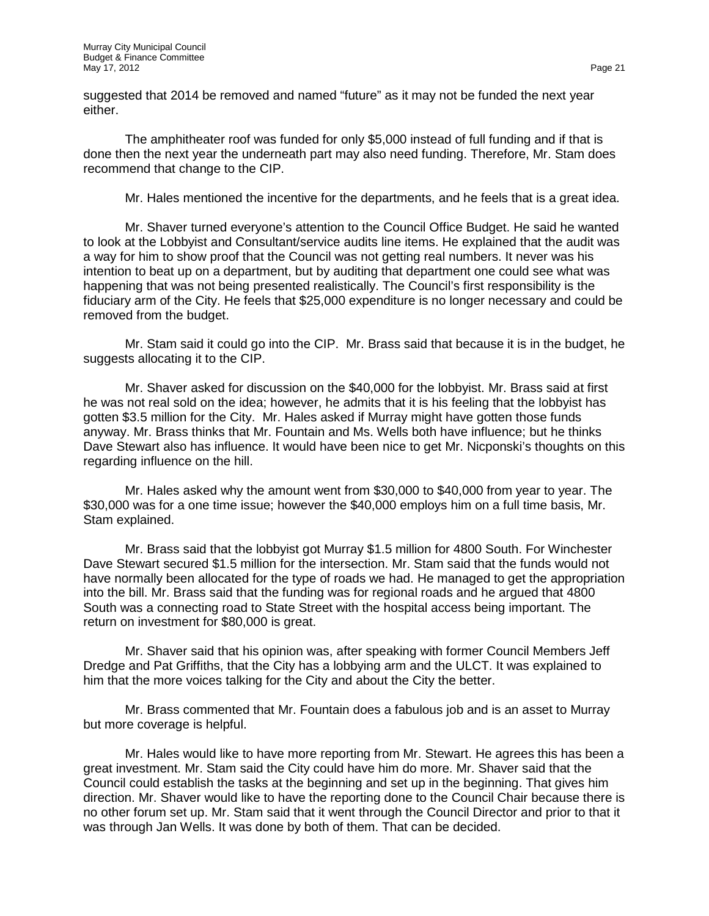suggested that 2014 be removed and named "future" as it may not be funded the next year either.

The amphitheater roof was funded for only \$5,000 instead of full funding and if that is done then the next year the underneath part may also need funding. Therefore, Mr. Stam does recommend that change to the CIP.

Mr. Hales mentioned the incentive for the departments, and he feels that is a great idea.

Mr. Shaver turned everyone's attention to the Council Office Budget. He said he wanted to look at the Lobbyist and Consultant/service audits line items. He explained that the audit was a way for him to show proof that the Council was not getting real numbers. It never was his intention to beat up on a department, but by auditing that department one could see what was happening that was not being presented realistically. The Council's first responsibility is the fiduciary arm of the City. He feels that \$25,000 expenditure is no longer necessary and could be removed from the budget.

Mr. Stam said it could go into the CIP. Mr. Brass said that because it is in the budget, he suggests allocating it to the CIP.

Mr. Shaver asked for discussion on the \$40,000 for the lobbyist. Mr. Brass said at first he was not real sold on the idea; however, he admits that it is his feeling that the lobbyist has gotten \$3.5 million for the City. Mr. Hales asked if Murray might have gotten those funds anyway. Mr. Brass thinks that Mr. Fountain and Ms. Wells both have influence; but he thinks Dave Stewart also has influence. It would have been nice to get Mr. Nicponski's thoughts on this regarding influence on the hill.

Mr. Hales asked why the amount went from \$30,000 to \$40,000 from year to year. The \$30,000 was for a one time issue; however the \$40,000 employs him on a full time basis, Mr. Stam explained.

Mr. Brass said that the lobbyist got Murray \$1.5 million for 4800 South. For Winchester Dave Stewart secured \$1.5 million for the intersection. Mr. Stam said that the funds would not have normally been allocated for the type of roads we had. He managed to get the appropriation into the bill. Mr. Brass said that the funding was for regional roads and he argued that 4800 South was a connecting road to State Street with the hospital access being important. The return on investment for \$80,000 is great.

Mr. Shaver said that his opinion was, after speaking with former Council Members Jeff Dredge and Pat Griffiths, that the City has a lobbying arm and the ULCT. It was explained to him that the more voices talking for the City and about the City the better.

Mr. Brass commented that Mr. Fountain does a fabulous job and is an asset to Murray but more coverage is helpful.

Mr. Hales would like to have more reporting from Mr. Stewart. He agrees this has been a great investment. Mr. Stam said the City could have him do more. Mr. Shaver said that the Council could establish the tasks at the beginning and set up in the beginning. That gives him direction. Mr. Shaver would like to have the reporting done to the Council Chair because there is no other forum set up. Mr. Stam said that it went through the Council Director and prior to that it was through Jan Wells. It was done by both of them. That can be decided.